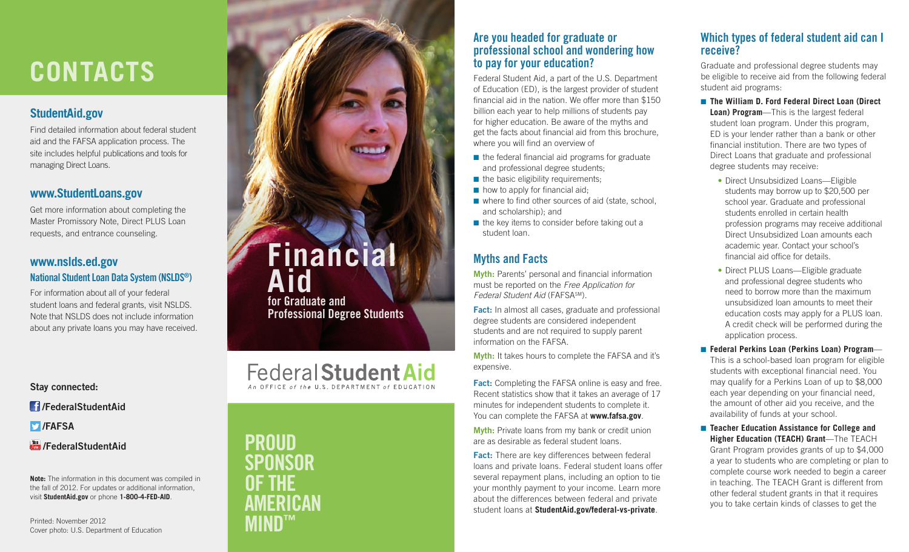# **CONTACTS**

# **[StudentAid.gov](http://StudentAid.gov)**

Find detailed information about federal student aid and the FAFSA application process. The site includes helpful publications and tools for managing Direct Loans.

# **[www.StudentLoans.gov](http://www.StudentLoans.gov)**

Get more information about completing the Master Promissory Note, Direct PLUS Loan requests, and entrance counseling.

# **[www.nslds.ed.gov](http://www.nslds.ed.gov)** National Student Loan Data System (NSLDS ® )

For information about all of your federal student loans and federal grants, visit NSLDS. Note that NSLDS does not include information about any private loans you may have received.

Stay connected:

/FederalStudentAid

**D**/FAFSA

### **Tou /FederalStudentAid**

**Note:** The information in this document was compiled in the fall of 2012. For updates or additional information, visit **[StudentAid.gov](http://StudentAid.gov)** or phone **1-800-4-FED-AID** .

Printed: November 2012 Cover photo: U.S. Department of Education



financial aid in the nation. We offer more than \$150 billion each year to help millions of students pay for higher education. Be aware of the myths and get the facts about financial aid from this brochure, where you will find an overview of

- the federal financial aid programs for graduate and professional degree students;
- $\blacksquare$  the basic eligibility requirements:
- $\blacksquare$  how to apply for financial aid;
- where to find other sources of aid (state, school, and scholarship); and
- $\blacksquare$  the key items to consider before taking out a student loan.

# Myths and Facts

Myth: Parents' personal and financial information must be reported on the *Free Application for Federal Student Aid* (FAFSASM).

Fact: In almost all cases, graduate and professional degree students are considered independent students and are not required to supply parent information on the FAFSA.

Myth: It takes hours to complete the FAFSA and it's expensive.

**Fact:** Completing the FAFSA online is easy and free. Recent statistics show that it takes an average of 17 minutes for independent students to complete it. You can complete the FAFSA at **[www.fafsa.gov](http://www.fafsa.gov)** .

Myth: Private loans from my bank or credit union are as desirable as federal student loans.

Fact: There are key differences between federal loans and private loans. Federal student loans offer several repayment plans, including an option to tie your monthly payment to your income. Learn more about the differences between federal and private student loans at **[StudentAid.gov/federal](http://www.StudentAid.gov/federal)-vs-private** .

# Which types of federal student aid can I receive?

Graduate and professional degree students may be eligible to receive aid from the following federal student aid programs:

- **The William D. Ford Federal Direct Loan (Direct Loan) Program**—This is the largest federal student loan program. Under this program, ED is your lender rather than a bank or other financial institution. There are two types of Direct Loans that graduate and professional degree students may receive:
	- **•** Direct Unsubsidized Loans—Eligible students may borrow up to \$20,500 per school year. Graduate and professional students enrolled in certain health profession programs may receive additional Direct Unsubsidized Loan amounts each academic year. Contact your school's financial aid office for details.
	- **•** Direct PLUS Loans—Eligible graduate and professional degree students who need to borrow more than the maximum unsubsidized loan amounts to meet their education costs may apply for a PLUS loan. A credit check will be performed during the application process.
- **Federal Perkins Loan (Perkins Loan) Program** —

This is a school-based loan program for eligible students with exceptional financial need. You may qualify for a Perkins Loan of up to \$8,000 each year depending on your financial need, the amount of other aid you receive, and the availability of funds at your school.

■ **Teacher Education Assistance for College and Higher Education (TEACH) Grant**—The TEACH Grant Program provides grants of up to \$4,000 a year to students who are completing or plan to complete course work needed to begin a career in teaching. The TEACH Grant is different from other federal student grants in that it requires you to take certain kinds of classes to get the

**Financial Aid**

for Graduate and Professional Degree Students

**Federal Student Aid** 

PROUD

**SPONSOR** 

AMERICAN

™

OF THE

MIND